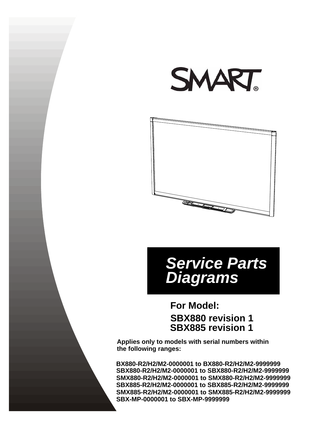



# *Service Parts Diagrams*

# **SBX880 revision 1 For Model: SBX885 revision 1**

**Applies only to models with serial numbers within the following ranges:**

**SBX880-R2/H2/M2-0000001 to SBX880-R2/H2/M2-9999999 SMX880-R2/H2/M2-0000001 to SMX880-R2/H2/M2-9999999 SBX885-R2/H2/M2-0000001 to SBX885-R2/H2/M2-9999999 SMX885-R2/H2/M2-0000001 to SMX885-R2/H2/M2-9999999 BX880-R2/H2/M2-0000001 to BX880-R2/H2/M2-9999999 SBX-MP-0000001 to SBX-MP-9999999**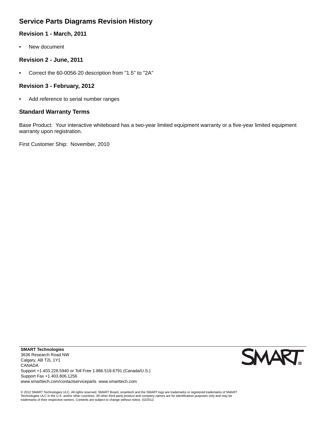## **Service Parts Diagrams Revision History**

## **Revision 1 - March, 2011**

• New document

### **Revision 2 - June, 2011**

• Correct the 60-0056-20 description from "1.5" to "2A"

#### **Revision 3 - February, 2012**

• Add reference to serial number ranges

### **Standard Warranty Terms**

Base Product: Your interactive whiteboard has a two-year limited equipment warranty or a five-year limited equipment warranty upon registration.

First Customer Ship: November, 2010



© 2012 SMART Technologies ULC. All rights reserved. SMART Board, smarttech and the SMART logo are trademarks or registered trademarks of SMART<br>Technologies ULC in the U.S. and/or other countries. All other third-party pro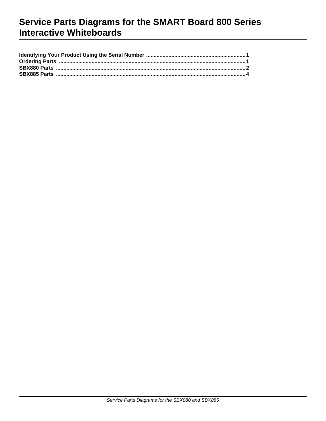## Service Parts Diagrams for the SMART Board 800 Series **Interactive Whiteboards**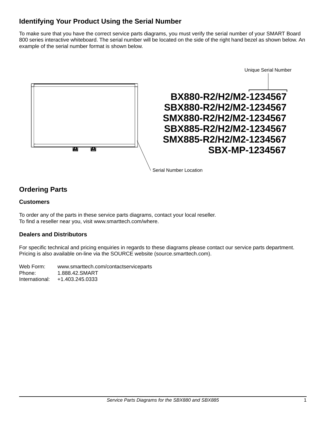## <span id="page-4-0"></span>**Identifying Your Product Using the Serial Number**

To make sure that you have the correct service parts diagrams, you must verify the serial number of your SMART Board 800 series interactive whiteboard. The serial number will be located on the side of the right hand bezel as shown below. An example of the serial number format is shown below.



#### Serial Number Location

## <span id="page-4-1"></span>**Ordering Parts**

#### **Customers**

To order any of the parts in these service parts diagrams, contact your local reseller. To find a reseller near you, visit www.smarttech.com/where.

### **Dealers and Distributors**

For specific technical and pricing enquiries in regards to these diagrams please contact our service parts department. Pricing is also available on-line via the SOURCE website (source.smarttech.com).

Web Form: www.smarttech.com/contactserviceparts Phone: 1.888.42.SMART International: +1.403.245.0333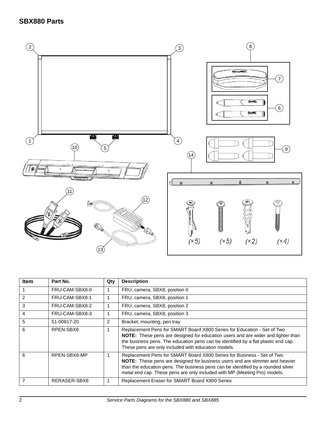## <span id="page-5-0"></span>**SBX880 Parts**



| <b>Item</b> | Part No.       | Qty | <b>Description</b>                                                                                                                                                                                                                                                                                                      |
|-------------|----------------|-----|-------------------------------------------------------------------------------------------------------------------------------------------------------------------------------------------------------------------------------------------------------------------------------------------------------------------------|
|             | FRU-CAM-SBX8-0 | 1   | FRU, camera, SBX8, position 0                                                                                                                                                                                                                                                                                           |
| 2           | FRU-CAM-SBX8-1 |     | FRU, camera, SBX8, position 1                                                                                                                                                                                                                                                                                           |
| 3           | FRU-CAM-SBX8-2 |     | FRU, camera, SBX8, position 2                                                                                                                                                                                                                                                                                           |
| 4           | FRU-CAM-SBX8-3 |     | FRU, camera, SBX8, position 3                                                                                                                                                                                                                                                                                           |
| 5           | 51-00817-20    | 2   | Bracket, mounting, pen tray                                                                                                                                                                                                                                                                                             |
| 6           | RPEN-SBX8      |     | Replacement Pens for SMART Board X800 Series for Education - Set of Two<br>NOTE: These pens are designed for education users and are wider and lighter than<br>the business pens. The education pens can be identified by a flat plastic end cap.<br>These pens are only included with education models.                |
| 6           | RPEN-SBX8-MP   |     | Replacement Pens for SMART Board X800 Series for Business - Set of Two<br>NOTE: These pens are designed for business users and are slimmer and heavier<br>than the education pens. The business pens can be identified by a rounded silver<br>metal end cap. These pens are only included with MP (Meeting Pro) models. |
|             | RERASER-SBX8   |     | Replacement Eraser for SMART Board X800 Series                                                                                                                                                                                                                                                                          |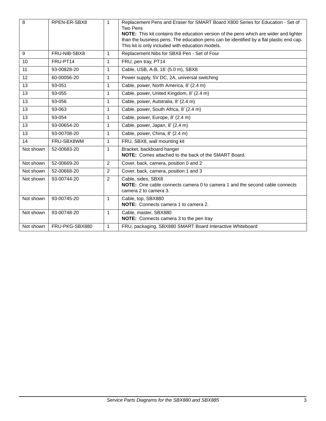| 8         | RPEN-ER-SBX8   | $\mathbf{1}$   | Replacement Pens and Eraser for SMART Board X800 Series for Education - Set of<br><b>Two Pens</b><br>NOTE: This kit contains the education version of the pens which are wider and lighter<br>than the business pens. The education pens can be identified by a flat plastic end cap.<br>This kit is only included with education models. |
|-----------|----------------|----------------|-------------------------------------------------------------------------------------------------------------------------------------------------------------------------------------------------------------------------------------------------------------------------------------------------------------------------------------------|
| 9         | FRU-NIB-SBX8   | 1              | Replacement Nibs for SBX8 Pen - Set of Four                                                                                                                                                                                                                                                                                               |
| 10        | FRU-PT14       | $\mathbf{1}$   | FRU, pen tray, PT14                                                                                                                                                                                                                                                                                                                       |
| 11        | 93-00828-20    | $\mathbf{1}$   | Cable, USB, A-B, 16' (5.0 m), SBX8                                                                                                                                                                                                                                                                                                        |
| 12        | 60-00056-20    | $\mathbf{1}$   | Power supply, 5V DC, 2A, universal switching                                                                                                                                                                                                                                                                                              |
| 13        | 93-051         | 1              | Cable, power, North America, 8' (2.4 m)                                                                                                                                                                                                                                                                                                   |
| 13        | 93-055         | 1              | Cable, power, United Kingdom, 8' (2.4 m)                                                                                                                                                                                                                                                                                                  |
| 13        | 93-056         | $\mathbf{1}$   | Cable, power, Autstralia, 8' (2.4 m)                                                                                                                                                                                                                                                                                                      |
| 13        | 93-063         | $\mathbf{1}$   | Cable, power, South Africa, 8' (2.4 m)                                                                                                                                                                                                                                                                                                    |
| 13        | 93-054         | $\mathbf{1}$   | Cable, power, Europe, 8' (2.4 m)                                                                                                                                                                                                                                                                                                          |
| 13        | 93-00654-20    | $\mathbf{1}$   | Cable, power, Japan, 8' (2.4 m)                                                                                                                                                                                                                                                                                                           |
| 13        | 93-00708-20    | $\mathbf{1}$   | Cable, power, China, 8' (2.4 m)                                                                                                                                                                                                                                                                                                           |
| 14        | FRU-SBX8WM     | 1              | FRU, SBX8, wall mounting kit                                                                                                                                                                                                                                                                                                              |
| Not shown | 52-00683-20    | $\mathbf{1}$   | Bracket, backboard hanger<br>NOTE: Comes attached to the back of the SMART Board.                                                                                                                                                                                                                                                         |
| Not shown | 52-00669-20    | $\overline{2}$ | Cover, back, camera, position 0 and 2                                                                                                                                                                                                                                                                                                     |
| Not shown | 52-00668-20    | $\overline{2}$ | Cover, back, camera, position 1 and 3                                                                                                                                                                                                                                                                                                     |
| Not shown | 93-00744-20    | 2              | Cable, sides, SBX8<br>NOTE: One cable connects camera 0 to camera 1 and the second cable connects<br>camera 2 to camera 3.                                                                                                                                                                                                                |
| Not shown | 93-00745-20    | $\mathbf{1}$   | Cable, top, SBX880<br><b>NOTE:</b> Connects camera 1 to camera 2.                                                                                                                                                                                                                                                                         |
| Not shown | 93-00748-20    | 1              | Cable, master, SBX880<br>NOTE: Connects camera 3 to the pen tray                                                                                                                                                                                                                                                                          |
| Not shown | FRU-PKG-SBX880 | 1              | FRU, packaging, SBX880 SMART Board Interactive Whiteboard                                                                                                                                                                                                                                                                                 |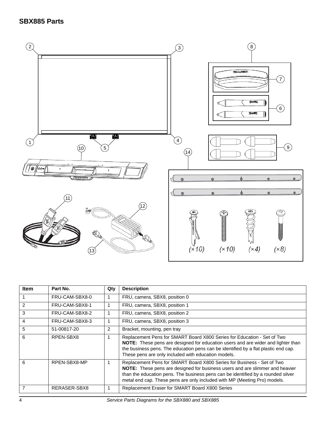## <span id="page-7-0"></span>**SBX885 Parts**



| Item           | Part No.       | Qty | <b>Description</b>                                                                                                                                                                                                                                                                                                      |
|----------------|----------------|-----|-------------------------------------------------------------------------------------------------------------------------------------------------------------------------------------------------------------------------------------------------------------------------------------------------------------------------|
|                | FRU-CAM-SBX8-0 |     | FRU, camera, SBX8, position 0                                                                                                                                                                                                                                                                                           |
| $\overline{2}$ | FRU-CAM-SBX8-1 |     | FRU, camera, SBX8, position 1                                                                                                                                                                                                                                                                                           |
| 3              | FRU-CAM-SBX8-2 |     | FRU, camera, SBX8, position 2                                                                                                                                                                                                                                                                                           |
| 4              | FRU-CAM-SBX8-3 |     | FRU, camera, SBX8, position 3                                                                                                                                                                                                                                                                                           |
| 5              | 51-00817-20    | 2   | Bracket, mounting, pen tray                                                                                                                                                                                                                                                                                             |
| 6              | RPEN-SBX8      |     | Replacement Pens for SMART Board X800 Series for Education - Set of Two<br>NOTE: These pens are designed for education users and are wider and lighter than<br>the business pens. The education pens can be identified by a flat plastic end cap.<br>These pens are only included with education models.                |
| 6              | RPEN-SBX8-MP   |     | Replacement Pens for SMART Board X800 Series for Business - Set of Two<br>NOTE: These pens are designed for business users and are slimmer and heavier<br>than the education pens. The business pens can be identified by a rounded silver<br>metal end cap. These pens are only included with MP (Meeting Pro) models. |
| $\overline{7}$ | RERASER-SBX8   |     | Replacement Eraser for SMART Board X800 Series                                                                                                                                                                                                                                                                          |